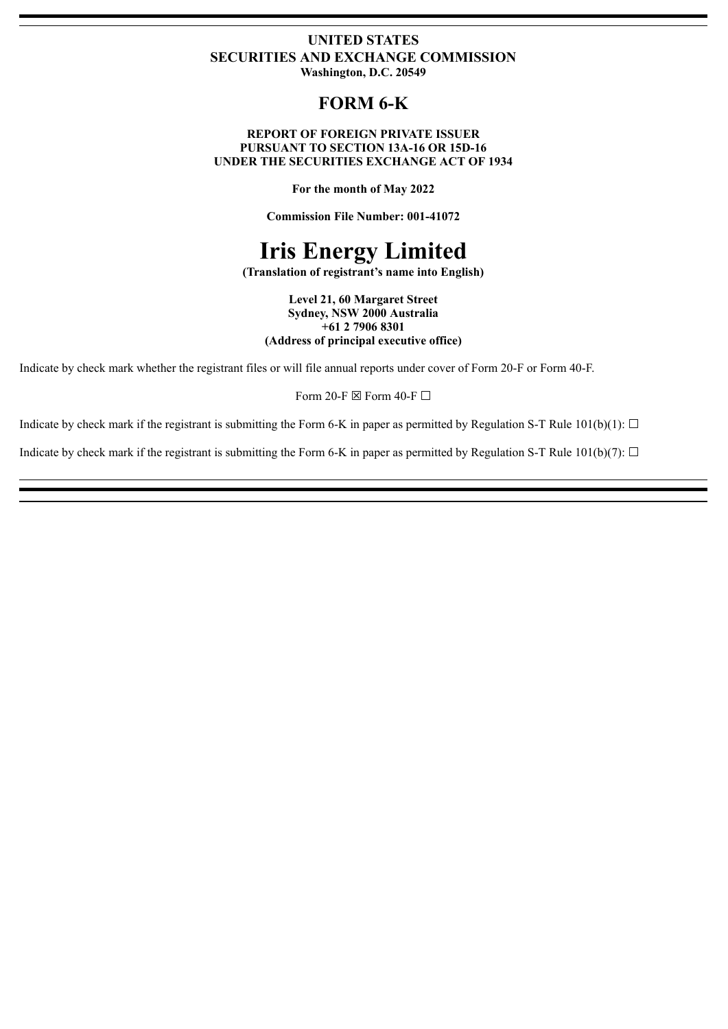### **UNITED STATES SECURITIES AND EXCHANGE COMMISSION Washington, D.C. 20549**

# **FORM 6-K**

#### **REPORT OF FOREIGN PRIVATE ISSUER PURSUANT TO SECTION 13A-16 OR 15D-16 UNDER THE SECURITIES EXCHANGE ACT OF 1934**

**For the month of May 2022**

**Commission File Number: 001-41072**

# **Iris Energy Limited**

**(Translation of registrant's name into English)**

**Level 21, 60 Margaret Street Sydney, NSW 2000 Australia +61 2 7906 8301 (Address of principal executive office)**

Indicate by check mark whether the registrant files or will file annual reports under cover of Form 20-F or Form 40-F.

Form 20-F  $\boxtimes$  Form 40-F  $\Box$ 

Indicate by check mark if the registrant is submitting the Form 6-K in paper as permitted by Regulation S-T Rule  $101(b)(1)$ :  $\Box$ 

Indicate by check mark if the registrant is submitting the Form 6-K in paper as permitted by Regulation S-T Rule  $101(b)(7)$ :  $\Box$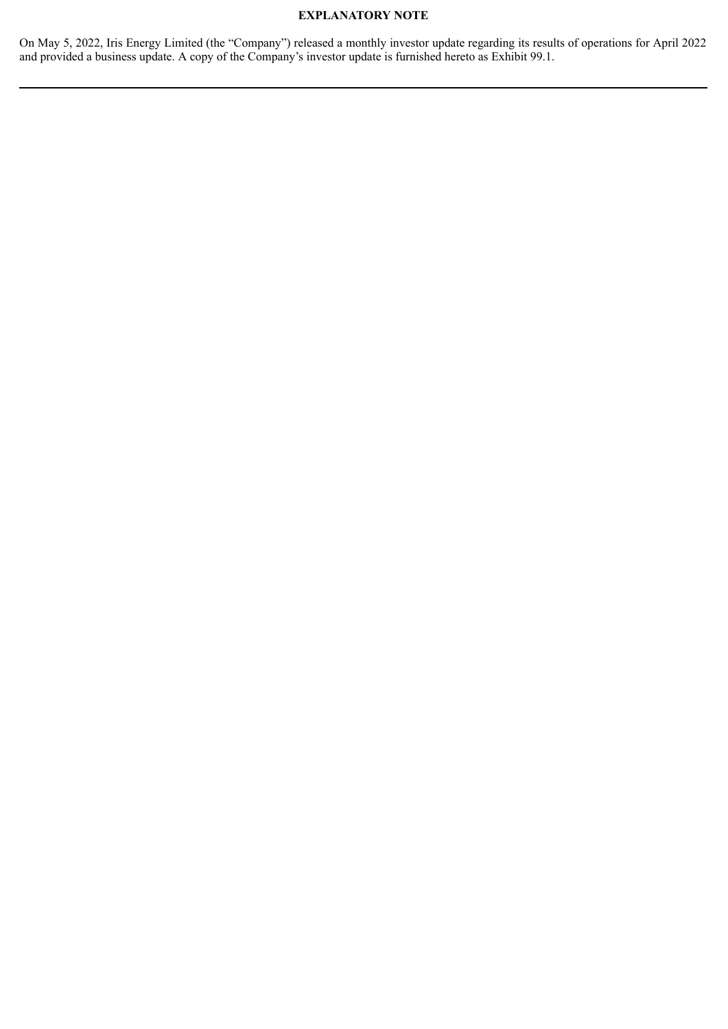## **EXPLANATORY NOTE**

On May 5, 2022, Iris Energy Limited (the "Company") released a monthly investor update regarding its results of operations for April 2022 and provided a business update. A copy of the Company's investor update is furnished hereto as Exhibit 99.1.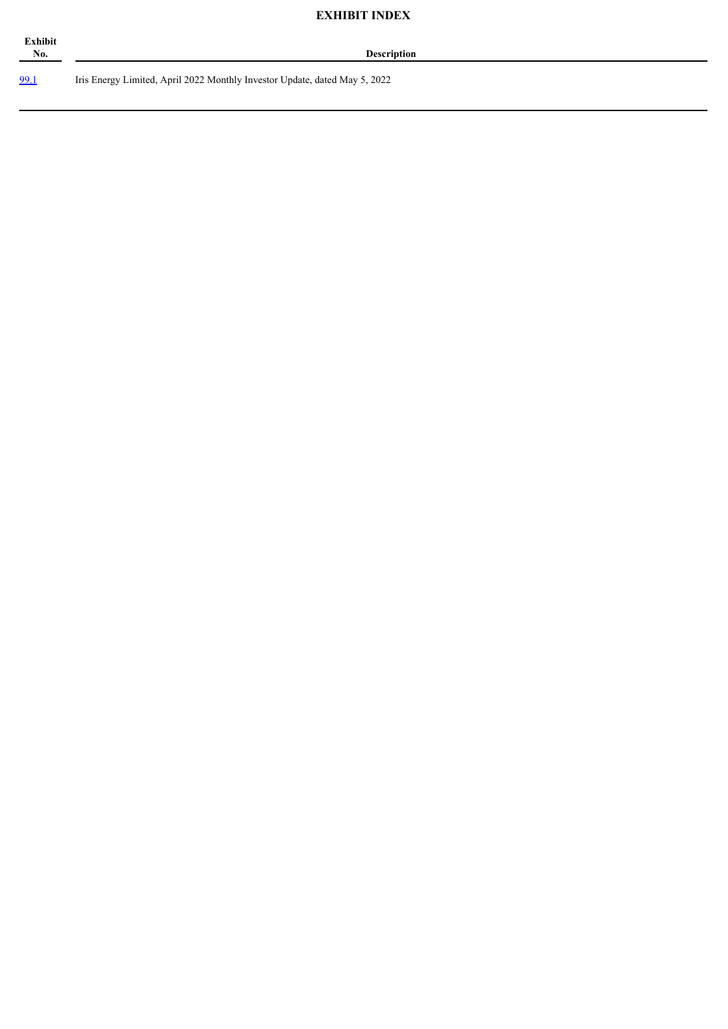# **EXHIBIT INDEX**

| Exhibit<br>No. |  |  |
|----------------|--|--|
|                |  |  |

**No. Description**

[99.1](#page-4-0) Iris Energy Limited, April 2022 Monthly Investor Update, dated May 5, 2022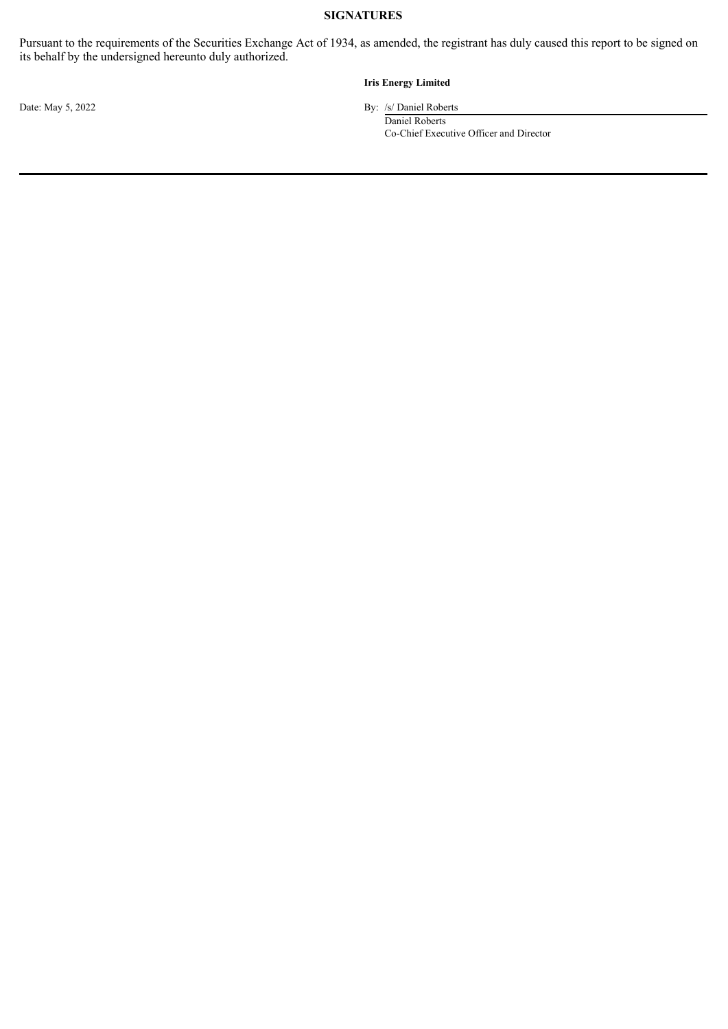## **SIGNATURES**

Pursuant to the requirements of the Securities Exchange Act of 1934, as amended, the registrant has duly caused this report to be signed on its behalf by the undersigned hereunto duly authorized.

#### **Iris Energy Limited**

Date: May 5, 2022 By: /s/ Daniel Roberts

Daniel Roberts Co-Chief Executive Officer and Director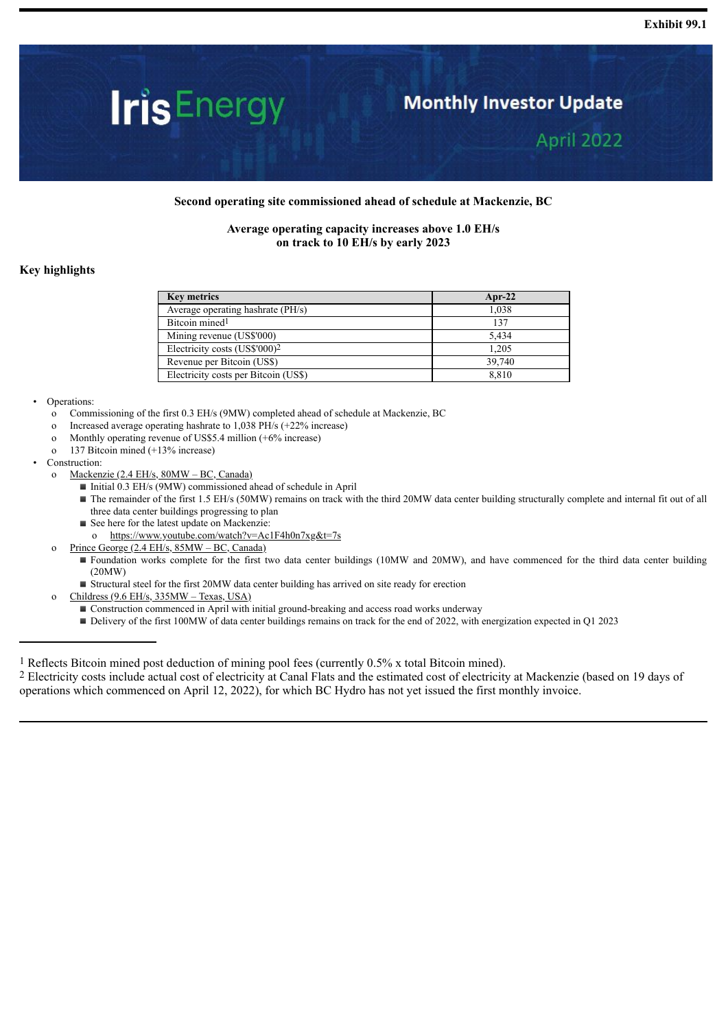# <span id="page-4-0"></span>**IrisEnergy**

# **Monthly Investor Update**

April 2022

#### **Second operating site commissioned ahead of schedule at Mackenzie, BC**

#### **Average operating capacity increases above 1.0 EH/s on track to 10 EH/s by early 2023**

#### **Key highlights**

| <b>Key metrics</b>                        | $Apr-22$ |
|-------------------------------------------|----------|
| Average operating hashrate (PH/s)         | 1.038    |
| Bitcoin mined <sup>1</sup>                | 137      |
| Mining revenue (US\$'000)                 | 5.434    |
| Electricity costs (US\$'000) <sup>2</sup> | 1.205    |
| Revenue per Bitcoin (US\$)                | 39,740   |
| Electricity costs per Bitcoin (US\$)      | 8.810    |

#### • Operations:

- o Commissioning of the first 0.3 EH/s (9MW) completed ahead of schedule at Mackenzie, BC
- o Increased average operating hashrate to 1,038 PH/s (+22% increase)
- o Monthly operating revenue of US\$5.4 million (+6% increase)
- o 137 Bitcoin mined (+13% increase)
- Construction:
	- o Mackenzie (2.4 EH/s, 80MW BC, Canada)
		- Initial 0.3 EH/s (9MW) commissioned ahead of schedule in April
		- The remainder of the first 1.5 EH/s (50MW) remains on track with the third 20MW data center building structurally complete and internal fit out of all three data center buildings progressing to plan
		- See here for the latest update on Mackenzie:
		- o https://www.youtube.com/watch?v=Ac1F4h0n7xg&t=7s
	- o Prince George (2.4 EH/s, 85MW BC, Canada)
		- Foundation works complete for the first two data center buildings (10MW and 20MW), and have commenced for the third data center building (20MW)
		- Structural steel for the first 20MW data center building has arrived on site ready for erection
	- o Childress (9.6 EH/s, 335MW Texas, USA)
		- Construction commenced in April with initial ground-breaking and access road works underway
		- Delivery of the first 100MW of data center buildings remains on track for the end of 2022, with energization expected in Q1 2023

1 Reflects Bitcoin mined post deduction of mining pool fees (currently 0.5% x total Bitcoin mined).

2 Electricity costs include actual cost of electricity at Canal Flats and the estimated cost of electricity at Mackenzie (based on 19 days of operations which commenced on April 12, 2022), for which BC Hydro has not yet issued the first monthly invoice.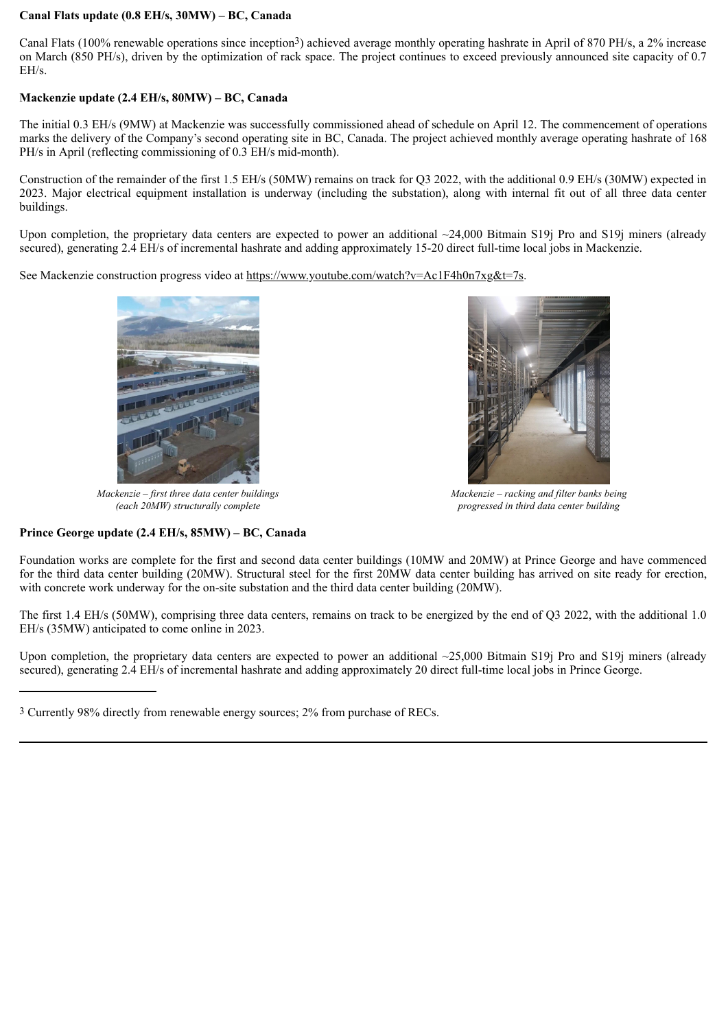#### **Canal Flats update (0.8 EH/s, 30MW) – BC, Canada**

Canal Flats (100% renewable operations since inception3) achieved average monthly operating hashrate in April of 870 PH/s, a 2% increase on March (850 PH/s), driven by the optimization of rack space. The project continues to exceed previously announced site capacity of 0.7 EH/s.

#### **Mackenzie update (2.4 EH/s, 80MW) – BC, Canada**

The initial 0.3 EH/s (9MW) at Mackenzie was successfully commissioned ahead of schedule on April 12. The commencement of operations marks the delivery of the Company's second operating site in BC, Canada. The project achieved monthly average operating hashrate of 168 PH/s in April (reflecting commissioning of 0.3 EH/s mid-month).

Construction of the remainder of the first 1.5 EH/s (50MW) remains on track for Q3 2022, with the additional 0.9 EH/s (30MW) expected in 2023. Major electrical equipment installation is underway (including the substation), along with internal fit out of all three data center buildings.

Upon completion, the proprietary data centers are expected to power an additional  $\sim$ 24,000 Bitmain S19j Pro and S19j miners (already secured), generating 2.4 EH/s of incremental hashrate and adding approximately 15-20 direct full-time local jobs in Mackenzie.

See Mackenzie construction progress video at https://www.youtube.com/watch?v=Ac1F4h0n7xg&t=7s.



*Mackenzie – first three data center buildings (each 20MW) structurally complete*



*Mackenzie – racking and filter banks being progressed in third data center building*

#### **Prince George update (2.4 EH/s, 85MW) – BC, Canada**

Foundation works are complete for the first and second data center buildings (10MW and 20MW) at Prince George and have commenced for the third data center building (20MW). Structural steel for the first 20MW data center building has arrived on site ready for erection, with concrete work underway for the on-site substation and the third data center building (20MW).

The first 1.4 EH/s (50MW), comprising three data centers, remains on track to be energized by the end of Q3 2022, with the additional 1.0 EH/s (35MW) anticipated to come online in 2023.

Upon completion, the proprietary data centers are expected to power an additional ~25,000 Bitmain S19j Pro and S19j miners (already secured), generating 2.4 EH/s of incremental hashrate and adding approximately 20 direct full-time local jobs in Prince George.

<sup>3</sup> Currently 98% directly from renewable energy sources; 2% from purchase of RECs.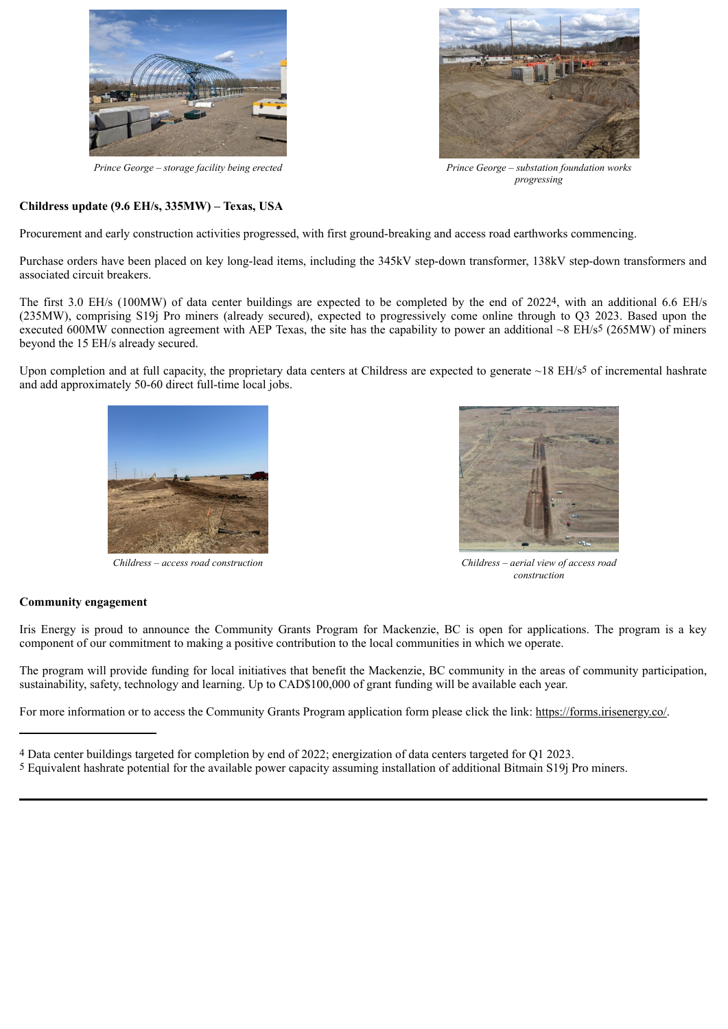



*Prince George – storage facility being erected Prince George – substation foundation works progressing*

#### **Childress update (9.6 EH/s, 335MW) – Texas, USA**

Procurement and early construction activities progressed, with first ground-breaking and access road earthworks commencing.

Purchase orders have been placed on key long-lead items, including the 345kV step-down transformer, 138kV step-down transformers and associated circuit breakers.

The first 3.0 EH/s (100MW) of data center buildings are expected to be completed by the end of 20224, with an additional 6.6 EH/s (235MW), comprising S19j Pro miners (already secured), expected to progressively come online through to Q3 2023. Based upon the executed 600MW connection agreement with AEP Texas, the site has the capability to power an additional  $\sim$ 8 EH/s<sup>5</sup> (265MW) of miners beyond the 15 EH/s already secured.

Upon completion and at full capacity, the proprietary data centers at Childress are expected to generate  $\sim$ 18 EH/s<sup>5</sup> of incremental hashrate and add approximately 50-60 direct full-time local jobs.





*Childress – access road construction Childress – aerial view of access road construction*

#### **Community engagement**

Iris Energy is proud to announce the Community Grants Program for Mackenzie, BC is open for applications. The program is a key component of our commitment to making a positive contribution to the local communities in which we operate.

The program will provide funding for local initiatives that benefit the Mackenzie, BC community in the areas of community participation, sustainability, safety, technology and learning. Up to CAD\$100,000 of grant funding will be available each year.

For more information or to access the Community Grants Program application form please click the link: https://forms.irisenergy.co/.

<sup>4</sup> Data center buildings targeted for completion by end of 2022; energization of data centers targeted for Q1 2023.

<sup>5</sup> Equivalent hashrate potential for the available power capacity assuming installation of additional Bitmain S19j Pro miners.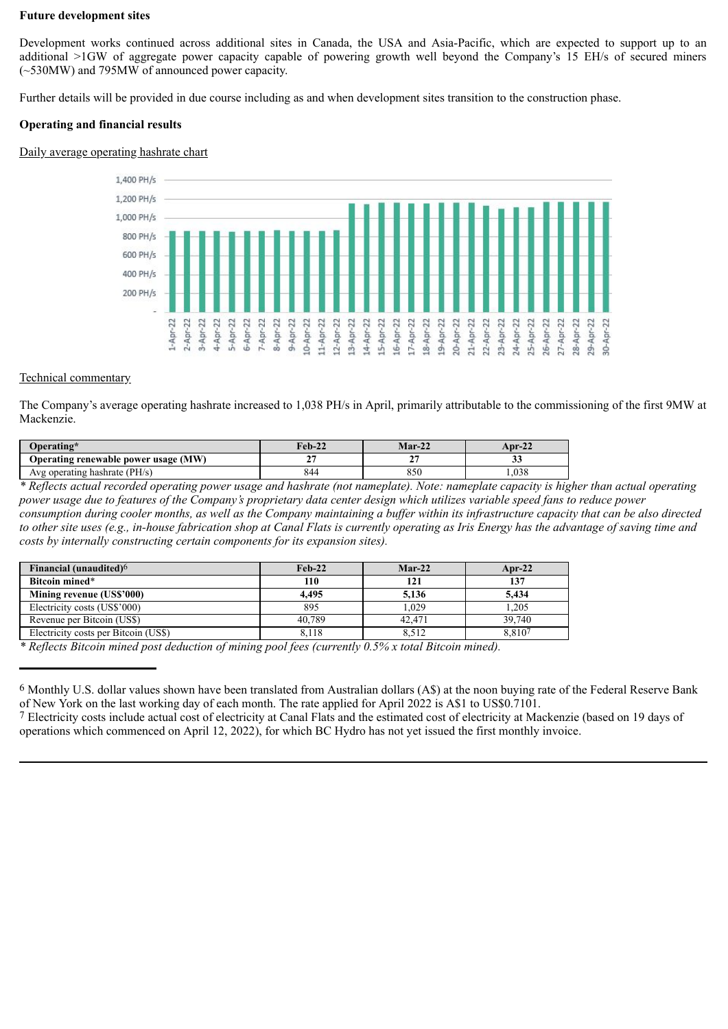#### **Future development sites**

Development works continued across additional sites in Canada, the USA and Asia-Pacific, which are expected to support up to an additional >1GW of aggregate power capacity capable of powering growth well beyond the Company's 15 EH/s of secured miners (~530MW) and 795MW of announced power capacity.

Further details will be provided in due course including as and when development sites transition to the construction phase.

#### **Operating and financial results**

#### Daily average operating hashrate chart



#### Technical commentary

The Company's average operating hashrate increased to 1,038 PH/s in April, primarily attributable to the commissioning of the first 9MW at Mackenzie.

| Operating*                           | <b>Feb-22</b> | $Mar-22$ | Apr-22 |  |
|--------------------------------------|---------------|----------|--------|--|
| Operating renewable power usage (MW) | -             | . .      | ມມ     |  |
| Avg operating hashrate (PH/s)        | 844           | 850      | .038   |  |

*\* Reflects actual recorded operating power usage and hashrate (not nameplate). Note: nameplate capacity is higher than actual operating power usage due to features of the Company's proprietary data center design which utilizes variable speed fans to reduce power consumption during cooler months, as well as the Company maintaining a buffer within its infrastructure capacity that can be also directed to other site uses (e.g., in-house fabrication shop at Canal Flats is currently operating as Iris Energy has the advantage of saving time and costs by internally constructing certain components for its expansion sites).*

| Financial (unaudited) <sup>6</sup>   | $Feb-22$ | $Mar-22$ | $Arr-22$ |
|--------------------------------------|----------|----------|----------|
| Bitcoin mined*                       | 110      | 121      | 137      |
| Mining revenue (US\$'000)            | 4.495    | 5.136    | 5.434    |
| Electricity costs (US\$'000)         | 895      | 1.029    | 1.205    |
| Revenue per Bitcoin (US\$)           | 40.789   | 42.471   | 39.740   |
| Electricity costs per Bitcoin (US\$) | 8.118    | 8.512    | 8.8107   |

*\* Reflects Bitcoin mined post deduction of mining pool fees (currently 0.5% x total Bitcoin mined).*

<sup>6</sup> Monthly U.S. dollar values shown have been translated from Australian dollars (A\$) at the noon buying rate of the Federal Reserve Bank of New York on the last working day of each month. The rate applied for April 2022 is A\$1 to US\$0.7101.

<sup>7</sup> Electricity costs include actual cost of electricity at Canal Flats and the estimated cost of electricity at Mackenzie (based on 19 days of operations which commenced on April 12, 2022), for which BC Hydro has not yet issued the first monthly invoice.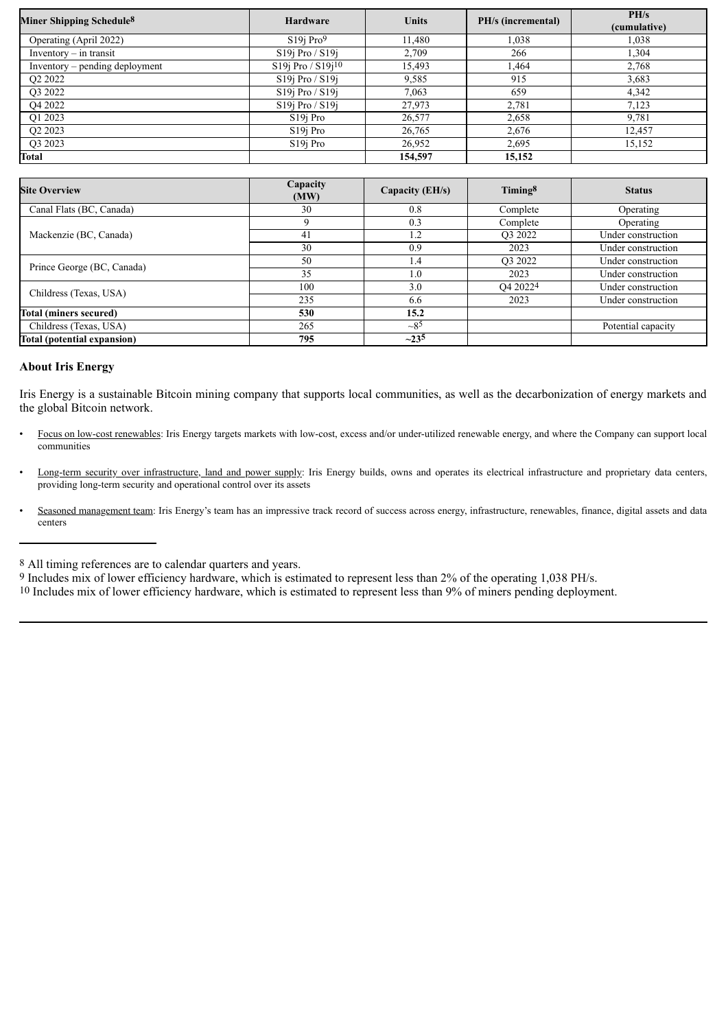| Miner Shipping Schedule <sup>8</sup> | <b>Hardware</b>            | <b>Units</b> | PH/s (incremental) | PH/s         |
|--------------------------------------|----------------------------|--------------|--------------------|--------------|
|                                      |                            |              |                    | (cumulative) |
| Operating (April 2022)               | $S19i$ Pro <sup>9</sup>    | 11.480       | 1.038              | 1.038        |
| Inventory $-$ in transit             | $S19j$ Pro / $S19j$        | 2,709        | 266                | 1,304        |
| Inventory – pending deployment       | $S19$ j Pro / $S19$ j $10$ | 15,493       | 1,464              | 2,768        |
| Q <sub>2</sub> 2022                  | $S19$ j Pro / $S19$ j      | 9,585        | 915                | 3,683        |
| O3 2022                              | $S19$ i Pro / $S19$ i      | 7,063        | 659                | 4,342        |
| Q4 2022                              | $S19$ j Pro / $S19$ j      | 27,973       | 2,781              | 7,123        |
| O1 2023                              | S <sub>19</sub> Pro        | 26,577       | 2,658              | 9,781        |
| Q2 2023                              | S <sub>19</sub> Pro        | 26,765       | 2,676              | 12,457       |
| O <sub>3</sub> 2023                  | S <sub>19</sub> Pro        | 26,952       | 2,695              | 15,152       |
| Total                                |                            | 154,597      | 15.152             |              |

| <b>Site Overview</b>        | Capacity<br>(MW) | Capacity (EH/s) | Timing <sup>8</sup>              | <b>Status</b>      |
|-----------------------------|------------------|-----------------|----------------------------------|--------------------|
| Canal Flats (BC, Canada)    | 30               | 0.8             | Complete                         | Operating          |
|                             | 9                | 0.3             | Complete                         | Operating          |
| Mackenzie (BC, Canada)      | 41               | 1.2             | O <sub>3</sub> 2022              | Under construction |
|                             | 30               | 0.9             | 2023                             | Under construction |
| Prince George (BC, Canada)  | 50               | 1.4             | Q3 2022                          | Under construction |
|                             | 35               | 1.0             | 2023                             | Under construction |
| Childress (Texas, USA)      | 100              | 3.0             | O <sub>4</sub> 2022 <sup>4</sup> | Under construction |
|                             | 235              | 6.6             | 2023                             | Under construction |
| Total (miners secured)      | 530              | 15.2            |                                  |                    |
| Childress (Texas, USA)      | 265              | $\sim 85$       |                                  | Potential capacity |
| Total (potential expansion) | 795              | $-235$          |                                  |                    |

#### **About Iris Energy**

Iris Energy is a sustainable Bitcoin mining company that supports local communities, as well as the decarbonization of energy markets and the global Bitcoin network.

- Focus on low-cost renewables: Iris Energy targets markets with low-cost, excess and/or under-utilized renewable energy, and where the Company can support local communities
- Long-term security over infrastructure, land and power supply: Iris Energy builds, owns and operates its electrical infrastructure and proprietary data centers, providing long-term security and operational control over its assets
- Seasoned management team: Iris Energy's team has an impressive track record of success across energy, infrastructure, renewables, finance, digital assets and data centers

<sup>8</sup> All timing references are to calendar quarters and years.

<sup>9</sup> Includes mix of lower efficiency hardware, which is estimated to represent less than 2% of the operating 1,038 PH/s.

<sup>10</sup> Includes mix of lower efficiency hardware, which is estimated to represent less than 9% of miners pending deployment.